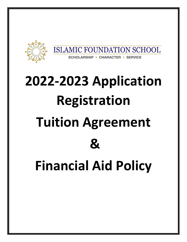

# **2022-2023 Application Registration Tuition Agreement & Financial Aid Policy**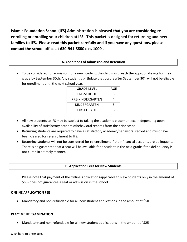**Islamic Foundation School (IFS) Administration is pleased that you are considering reenrolling or enrolling your children at IFS. This packet is designed for returning and new families to IFS. Please read this packet carefully and if you have any questions, please contact the school office at 630-941-8800 ext. 1000 .**

### **A. Conditions of Admission and Retention**

• To be considered for admission for a new student, the child must reach the appropriate age for their grade by September 30th. Any student's birthdate that occurs after September 30<sup>th</sup> will not be eligible for enrollment until the next school year.

| <b>GRADE LEVEL</b> | AGE |
|--------------------|-----|
| <b>PRE-SCHOOL</b>  | ર   |
| PRE-KINDERGARTEN   |     |
| KINDERGARTEN       | 5   |
| <b>FIRST GRADE</b> |     |

- All new students to IFS may be subject to taking the academic placement exam depending upon availability of satisfactory academic/behavioral records from the prior school.
- Returning students are required to have a satisfactory academic/behavioral record and must have been cleared for re-enrollment to IFS.
- Returning students will not be considered for re-enrollment if their financial accounts are delinquent. There is no guarantee that a seat will be available for a student in the next grade if the delinquency is not cured in a timely manner.

#### **B. Application Fees for New Students**

Please note that payment of the Online Application (applicable to New Students only in the amount of \$50) does not guarantee a seat or admission in the school.

#### **ONLINE APPLICATION FEE**

• Mandatory and non-refundable for all new student applications in the amount of \$50

#### **PLACEMENT EXAMINATION**

• Mandatory and non-refundable for all new student applications in the amount of \$25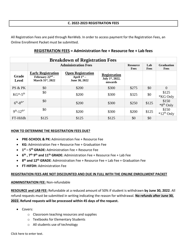#### **C. 2022-2023 REGISTRATION FEES**

All Registration Fees are paid through RenWeb. In order to access payment for the Registration Fees, an Online Enrollment Packet must be submitted.

# **REGISTRATION FEES = Administration fee + Resource fee + Lab fees**

| <b>Breakdown of Registration Fees</b> |                                                                    |                                                            |                                                   |                         |             |                                  |
|---------------------------------------|--------------------------------------------------------------------|------------------------------------------------------------|---------------------------------------------------|-------------------------|-------------|----------------------------------|
|                                       | <b>Administration Fees</b>                                         |                                                            |                                                   | <b>Resource</b><br>Fees | Lab<br>Fees | <b>Graduation</b><br><b>Fees</b> |
| <b>Grade</b><br><b>Level</b>          | <b>Early Registration</b><br>February $22nd$ -<br>March 31st, 2022 | <b>Open Registration</b><br>April $1st$ –<br>June 30, 2022 | <b>Registration</b><br>July 1st, 2022,<br>onwards |                         |             |                                  |
| PS & PK                               | \$0                                                                | \$200                                                      | \$300                                             | \$275                   | \$0         | $\theta$                         |
| $KG^{*-5^{th}}$                       | \$0                                                                | \$200                                                      | \$300                                             | \$325                   | \$0         | \$125<br>*KG Only                |
| $6^{th} - 8^{th*}$                    | \$0                                                                | \$200                                                      | \$300                                             | \$250                   | \$125       | \$150<br>*8 <sup>th</sup> Only   |
| $9^{th} - 12^{th*}$                   | \$0                                                                | \$200                                                      | \$300                                             | \$200                   | \$125       | \$150<br>$*12th$ Only            |
| FT-Hifdh                              | \$125                                                              | \$125                                                      | \$125                                             | \$0                     | \$0         |                                  |

#### **HOW TO DETERMINE THE REGISTRATION FEES DUE?**

- **PRE-SCHOOL & PK:** Administration Fee + Resource Fee
- **KG:** Administration Fee + Resource Fee + Graduation Fee
- **1 st – 5 th GRADE:** Administration Fee + Resource Fee
- **6 th , 7th 9 th and 11th GRADE:** Administration Fee + Resource Fee + Lab Fee
- **8 th and 12th GRADE**: Administration Fee + Resource Fee + Lab Fee + Graduation Fee
- **FT-HIFDH:** Administration Fee

#### **REGISTRATION FEES ARE NOT DISCOUNTED AND DUE IN FULL WITH THE ONLINE ENROLLMENT PACKET**

#### **ADMINISTRATION FEE:** Non-refundable

**RESOURCE and LAB FEE:** Refundable at a reduced amount of 50% if student is withdrawn **by June 30, 2022**. All refund requests must be submitted in writing indicating the reason for withdrawal. **No refunds after June 30, 2022. Refund requests will be processed within 45 days of the request.**

- Covers:
	- o Classroom teaching resources and supplies
	- o Textbooks for Elementary Students
	- o All students use of technology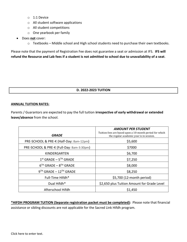- o 1:1 Device
- o All student software applications
- o All student competitions
- o One yearbook per family
- Does **not** cover:
	- o Textbooks Middle school and High school students need to purchase their own textbooks.

Please note that the payment of Registration Fee does not guarantee a seat or admission at IFS. **IFS will refund the Resource and Lab fees if a student is not admitted to school due to unavailability of a seat**.

#### **D. 2022-2023 TUITION**

#### **ANNUAL TUITION RATES:**

Parents / Guarantors are expected to pay the full tuition **irrespective of early withdrawal or extended leave/absence** from the school.

|                                           | <b>AMOUNT PER STUDENT</b><br>Tuition fees are based upon a 10-month period for which |
|-------------------------------------------|--------------------------------------------------------------------------------------|
| <b>GRADE</b>                              | the regular academic year is in session.                                             |
| PRE-SCHOOL & PRE-K (Half-Day: 8am-12pm)   | \$5,600                                                                              |
| PRE-SCHOOL & PRE-K (Full-Day: 8am-3:30pm) | \$7000                                                                               |
| KINDERGARTEN                              | \$6,700                                                                              |
| $1st$ GRADE - $5TH$ GRADE                 | \$7,250                                                                              |
| $6TH$ GRADE - $8TH$ GRADE                 | \$8,000                                                                              |
| $9^{TH}$ GRADE - 12 <sup>TH</sup> GRADE   | \$8,250                                                                              |
| Full-Time Hifdh*                          | \$5,700 (12-month period)                                                            |
| Dual Hifdh*                               | \$2,650 plus Tuition Amount for Grade Level                                          |
| Afterschool Hifdh                         | \$1,450                                                                              |

**\*HIFDH PROGRAM TUITION (Separate registration packet must be completed):** Please note that financial assistance or sibling discounts are not applicable for the Sacred Link Hifdh program.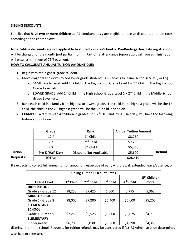#### **SIBLING DISCOUNTS:**

Families that have **two or more children** at IFS simultaneously are eligible to receive discounted tuition rates according to the chart below:

**Note: Sibling discounts are not applicable to students in Pre-School or Pre-Kindergarten.** Late registrations will be charged for the month (not partial month). Part-time attendance (upon approval from administration) will entail a minimum of 75% payment.

#### **HOW TO CALCULATE ANNUAL TUITION AMOUNT DUE:**

- 1. Begin with the highest-grade student.
- 2. Move diagonal and down to add lower grade students –OR- across for same school (ES, MS, or HS)
	- a. SAME Grade Level: Add 1<sup>st</sup> Child in the High School Grade Level  $1 + 2<sup>nd</sup>$  Child in the High School Grade Level, etc.
	- b. LOWER GRADE: Add  $1<sup>st</sup>$  Child in the High School Grade Level  $1 + 2<sup>nd</sup>$  Child in the Middle School Grade Level, etc.
- 3. Rank each child in a family from highest to lowest grade. The child in the highest grade will be the 1<sup>st</sup> child, the child in the 2<sup>nd</sup> highest grade will be the 2<sup>nd</sup> child, and so on.
- 4. **EXAMPLE**: a family with 4 children in grades 12<sup>th</sup>, 7<sup>th</sup>, KG, and Pre-K (Half-day) will have the following tuition amount due:

|                  | Grade            | Rank                    | <b>Annual Tuition Amount</b> |        |  |
|------------------|------------------|-------------------------|------------------------------|--------|--|
|                  | 12 <sup>th</sup> | $1st$ Child             | \$8,250                      |        |  |
|                  | 7th              | 2 <sup>nd</sup> Child   | \$7,200                      |        |  |
|                  | КG               | 3rd Child               | \$5,360                      |        |  |
| <u>Tuition</u>   | Pre-K (Half-Day) | Discount Not Applicable | \$5,600                      | Refund |  |
| <b>Requests:</b> | <b>TOTAL:</b>    |                         | \$26,410                     |        |  |

# **Requests:**

IFS expects to collect full annual tuition amount irrespective of early withdrawal, extended leave/absence, or

| <b>Sibling Tuition Discount Rates</b> |                       |                       |           |                       |                          |  |
|---------------------------------------|-----------------------|-----------------------|-----------|-----------------------|--------------------------|--|
|                                       |                       |                       |           |                       | 5 <sup>th</sup> Child or |  |
| <b>Grade Level</b>                    | 1 <sup>st</sup> Child | 2 <sup>nd</sup> Child | 3rd Child | 4 <sup>th</sup> Child | more                     |  |
| <b>HIGH SCHOOL</b>                    |                       |                       |           |                       |                          |  |
| Grade 9 - Grade 12                    | \$8,250               | \$7,425               | 6,600     | 5,775                 | 5,363                    |  |
| <b>MIDDLE SCHOOL</b>                  |                       |                       |           |                       |                          |  |
| Grade 6 - Grade 8                     | \$8,000               | \$7,200               | \$6,400   | \$5,600               | \$5,200                  |  |
| <b>ELEMENTARY</b>                     |                       |                       |           |                       |                          |  |
| <b>SCHOOL</b>                         |                       |                       |           |                       |                          |  |
| Grade 1 - Grade 5                     | \$7,250               | \$6,525               | \$5,800   | \$5,075               | \$4,713                  |  |
| <b>ELEMENTARY</b>                     |                       |                       |           |                       |                          |  |
| Kindergarten                          | \$6,700               | 6,030                 | \$5,360   | \$4,690               | \$4,355                  |  |

dismissal from the school. Requests for tuition refunds may be considered if (1) IFS Administration determines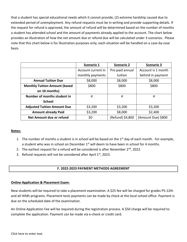that a student has special educational needs which it cannot provide, (2) extreme hardship caused due to extended period of unemployment. Any refund requests must be in writing and provide supporting details. If the request for refund is approved, the amount of refund will be determined based on the number of months a student has attended school and the amount of payments already applied to the account. The chart below provides an illustration of how the net amount due or refund due will be calculated under 3 scenarios. Please note that this chart below is for illustration purposes only; each situation will be handled on a case-by-case basis.

|                                      | Scenario 1                            | <b>Scenario 2</b> | <b>Scenario 3</b>  |  |
|--------------------------------------|---------------------------------------|-------------------|--------------------|--|
|                                      | Pre-paid annual<br>Account current in |                   | Account is 1 month |  |
|                                      | monthly payments                      | tuition           | behind in payment  |  |
| <b>Annual Tuition Due</b>            | \$8,000                               | \$8,000           | \$8,000            |  |
| <b>Monthly Tuition Amount (based</b> | \$800                                 | \$800             | \$800              |  |
| on 10 months)                        |                                       |                   |                    |  |
| Number of months student in          | 4                                     | 4                 | 4                  |  |
| <b>School</b>                        |                                       |                   |                    |  |
| <b>Adjusted Tuition Amount Due</b>   | \$3,200                               | \$3,200           | \$3,200            |  |
| <b>Amount already Paid</b>           | \$3,200                               | \$8,000           | \$2,400            |  |
| Net Amount due or refund             | \$0                                   | (Refund) \$4,800  | (Amount Due) \$800 |  |

#### **Notes:**

- 1. The number of months a student is in school will be based on the  $1<sup>st</sup>$  day of each month. For example, a student who was in school on December 1<sup>st</sup> will deem to have been in school for 4 months.
- 2. The earliest request for a refund will be considered is after November 2<sup>nd</sup>, 2022.
- 3. Refund requests will not be considered after April 1st, 2023.

#### **F. 2022-2023 PAYMENT METHODS AGREEMENT**

#### **Online Application & Placement Exam:**

New students will be required to take a placement examination. A \$25 fee will be charged for grades PS-12th and all Hifdh programs. Placement tests payments can be made by check at the local school office. Payment is due on the scheduled date of the examination.

An Online Application Fee will be required during the registration process. A \$50 charge will be required to complete the application. Payment can be made via e-check or credit card.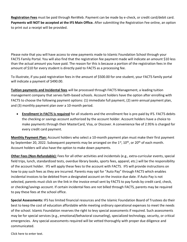**Registration Fees** must be paid through RenWeb. Payment can be made by e-check, or credit card/debit card. **Payments will NOT be accepted at the IFS Main Office.** After submitting the Registration Fee online, an option to print out a receipt will be provided.

Please note that you will have access to view payments made to Islamic Foundation School through your FACTS Family Portal. You will also find that the registration fee payment made will indicate an amount \$10 less than the actual amount you have paid. The reason for this is because a portion of the registration fees in the amount of \$10 for every student is directly paid to FACTS as a processing fee.

To illustrate, if you paid registration fees in the amount of \$500.00 for one student, your FACTS family portal will indicate a payment of \$490.00.

**Tuition payments and Incidental fees** will be processed through FACTS Management, a leading tuition management company that serves faith-based schools. Account holders have the option after enrolling with FACTS to choose the following payment options: (1) immediate full payment, (2) semi-annual payment plan, and (3) monthly payment plan over a 10-month period.

• **Enrollment in FACTS is required** for all students and the enrollment fee is pre-paid by IFS. FACTS debits the checking or savings account authorized by the account holder. Account holders have a choice to make payments through their MasterCard, Visa, or Discover. A convenience fee of 2.95% is charged for every credit card payment.

**Monthly Payment Plan:** Account holders who select a 10-month payment plan must make their first payment by September 20, 2022. Subsequent payments may be arranged on the 1<sup>st</sup>, 10<sup>th</sup>, or 20<sup>th</sup> of each month. Account holders will also have the option to make down payments.

**Other Fees (Non-Refundable):** Fees for all other activities and incidentals (e.g., extra-curricular events, special field trips, lunch, standardized tests, overdue library books, sports fees, apparel, etc.) will be the responsibility of the account holder. IFS will apply these fees to the account with FACTS. IFS will provide instructions on how to pay such fees as they are incurred. Parents may opt for "Auto Pay" through FACTS which enables incidental invoices to be debited from a designated account on the invoice due date. If Auto Pay is not selected, parents must click on the link in the invoice email sent by FACTS to pay funds by credit card, check, or checking/savings account. If certain incidental fees are not billed through FACTS, parents may be required to pay these fees at the school office.

**Special Assessments:** IFS has limited financial resources and the Islamic Foundation Board of Trustees do their best to keep the cost of education affordable while meeting ordinary operational expenses to meet the needs of the school. Islamic Foundation reserves the right to levy special assessments if required. Such assessments may be for special services (e.g., emotional/behavioral counseling), specialized technology, security, or critical emergencies. Any special assessments required will be vetted thoroughly with proper due diligence and communicated.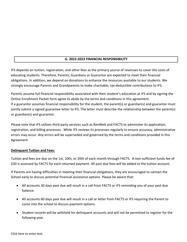#### **G. 2022-2023 FINANCIAL RESPONSIBILITY**

IFS depends on tuition, registration, and other fees as the primary source of revenues to cover the costs of educating students. Therefore, Parents, Guardians or Guarantor are expected to meet their financial obligations. In addition, we depend on donations to enhance the resources available to our students. We strongly encourage Parents and Grandparents to make charitable, tax-deductible contributions to IFS.

Parents assume full financial responsibility associated with their student's education at IFS and by signing the Online Enrollment Packet form agree to abide by the terms and conditions in this agreement. If a guarantor assumes financial responsibility for the student, the parent(s) or guardian(s) and guarantor must jointly submit a signed guarantee letter to IFS. The letter must describe the relationship between the parent(s) or guardian(s) and guarantor.

Please note that IFS utilizes third party services such as RenWeb and FACTS to administer its application, registration, and billing processes. While IFS reviews its processes regularly to ensure accuracy, administrative errors may occur. Any errors will be superseded and governed by the terms and conditions provided in this Agreement.

#### **Delinquent Tuition and Fees:**

Tuition and fees are due on the 1st, 10th, or 20th of each month through FACTS. A non-sufficient funds fee of \$30 is assessed by FACTS for each returned payment. All past due fees will be added to the tuition account.

If Parents are having difficulties in meeting their financial obligations, they are encouraged to contact the School early to discuss potential financial assistance options. Please be aware that:

- All accounts 30 days past due will result in a call from FACTS or IFS reminding you of your past due balance.
- All accounts 60 days past due will result in a call or letter from FACTS or IFS requiring the Parent to come into the school to discuss payment options.
- Student records will be withheld for delinquent accounts and will not be permitted to register for the following year.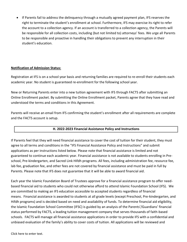• If Parents fail to address the delinquency through a mutually agreed payment plan, IFS reserves the right to terminate the student's enrollment at school. Furthermore, IFS may exercise its right to refer the account to a collection agency. If an account is transferred to a collection agency, the Parents will be responsible for all collection costs, including (but not limited to) attorneys' fees. We urge all Parents to be responsible and proactive in handling their obligations to prevent any interruption in their student's education.

#### **Notification of Admission Status:**

Registration at IFS is on a school year basis and returning families are required to re-enroll their students each academic year. No student is guaranteed re-enrollment for the following school year.

New or Returning Parents enter into a new tuition agreement with IFS through FACTS after submitting an Online Enrollment packet. By submitting the Online Enrollment packet, Parents agree that they have read and understood the terms and conditions in this Agreement.

Parents will receive an email from IFS confirming the student's enrollment after all requirements are complete and the FACTS account is setup.

# **H. 2022-2023 Financial Assistance Policy and Instructions**

If Parents feel that they will need financial assistance to cover the cost of tuition for their student, they must agree to all terms and conditions in the "IFS Financial Assistance Policy and Instructions" and submit applications as per instructions listed below. Please note that financial assistance is limited and not guaranteed to continue each academic year. Financial assistance is not available to students enrolling in Preschool, Pre-kindergarten, and Sacred Link Hifdh programs. All fees, including administration fee, resource fee, lab fee, graduation fee, and other fees are not covered by financial assistance and must be paid in full by Parents. Please note that IFS does not guarantee that it will be able to award financial aid.

Each year the Islamic Foundation Board of Trustees approve for a financial assistance program to offer needbased financial aid to students who could not otherwise afford to attend Islamic Foundation School (IFS). We are committed to making an IFS education accessible to accepted students regardless of financial means. Financial assistance is awarded to students at all grade levels (except Preschool, Pre-kindergarten, and Hifdh programs) and is decided based on need and availability of funds. To determine financial aid eligibility, the Islamic Foundation School Committee (IFSC) is guided by an analysis of the Parents'/Guardians' financial status performed by FACTS, a leading tuition management company that serves thousands of faith-based schools. FACTS will manage all financial assistance applications in order to provide IFS with a confidential and unbiased evaluation of the family's ability to cover costs of tuition. All applications will be reviewed and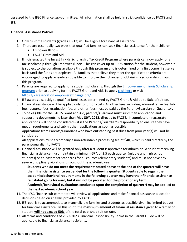assessed by the IFSC Finance sub-committee. All information shall be held in strict confidence by FACTS and IFS.

#### **Financial Assistance Policies:**

- 1. Only full-time students (grades K 12) will be eligible for financial assistance.
- 2. There are essentially two ways that qualified families can seek financial assistance for their children.
	- Empower Illinois
	- FACTS Grant and Aid
- 3. Illinois enacted the Invest In Kids Scholarship Tax Credit Program where parents can now apply for a tax scholarship through Empower Illinois. This can cover up to 100% tuition for the student, however it is subject to the donations available through this program and is determined on a first come first serve basis until the funds are depleted. All families that believe they meet the qualification criteria are encouraged to apply as early as possible to improve their chances of obtaining a scholarship through this program.
- 4. Parents are required to apply for a student scholarship through the **Empowerment Illinois Scholarship** [program](https://empowerillinois.org/) prior to applying for the FACTS Grant and Aid. To apply [click here](https://22reservation.empowerexchange.org/) or visit [https://22reservation.empowerexchange.org/.](https://22reservation.empowerexchange.org/)
- 5. IFS awards a subsidy to qualified families as determined by FACTS Grant & Aid up to 50% of tuition.
- 6. Financial assistance will be applied only to tuition costs. All other fees, including administrative fee, lab fee, resource fees, graduation fee, and other fees must be paid by the Parent/Guardian or Guarantor.
- 7. To be eligible for the FACTS Grant and Aid, parents/guardians must submit an application and supporting documents no later than **May 30th , 2022,** directly to FACTS. Incomplete or inaccurate applications will not be considered – it is the Parent's/Guardian's responsibility to ensure they have met all requirements and submit their applications as soon as possible.
- 8. Applications from Parents/Guardians who have outstanding past dues from prior year(s) will not be considered.
- 9. All applications must accompany a non-refundable processing fee of \$40, which is paid directly by the parent/guardian to FACTS.
- 10. Financial assistance will be granted only after a student is approved for admission. A student receiving financial assistance must maintain a minimum GPA of 2.5 each quarter (middle and high school students) or at least meet standards for all courses (elementary students) and must not have any severe disciplinary violations throughout the academic year.

**Students who do not meet the requirements stated above at the end of the quarter will have their financial assistance suspended for the following quarter. Students able to regain the academic/behavioral requirements in the following quarter may have their financial assistance reinstated going forward, but it will not be prorated for the probationary term. Academic/behavioral evaluations conducted upon the completion of quarter 4 may be applied to the next academic school year.** 

- 11. The IFSC Finance sub-committee will review all applications and make financial assistance allocation decisions based on analysis provided by FACTS.
- 12. IFS' goal is to accommodate as many eligible families and students as possible given its limited budget for financial assistance. In this spirit, the **maximum amount of financial assistance** given to a family or student **will not exceed 50%** of the total published tuition rate.
- 13. All terms and conditions of 2022-2023 Financial Responsibility Terms in the Parent Guide will be applicable to financial assistance recipients.